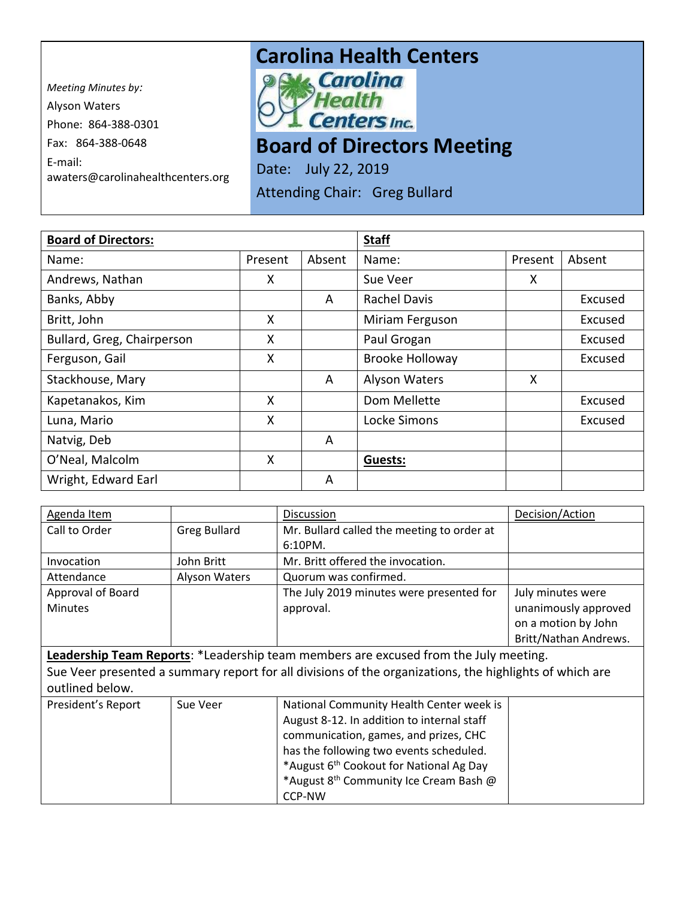*Meeting Minutes by:*  Alyson Waters Phone: 864-388-0301 Fax: 864-388-0648 E-mail: awaters@carolinahealthcenters.org

## **Carolina Health Centers**<br> **PAM** *Carolina*



**Board of Directors Meeting** 

Date: July 22, 2019 Attending Chair: Greg Bullard

| <b>Board of Directors:</b> |         |        | <b>Staff</b>           |         |         |
|----------------------------|---------|--------|------------------------|---------|---------|
| Name:                      | Present | Absent | Name:                  | Present | Absent  |
| Andrews, Nathan            | X       |        | Sue Veer               | X       |         |
| Banks, Abby                |         | A      | <b>Rachel Davis</b>    |         | Excused |
| Britt, John                | X       |        | Miriam Ferguson        |         | Excused |
| Bullard, Greg, Chairperson | X       |        | Paul Grogan            |         | Excused |
| Ferguson, Gail             | X       |        | <b>Brooke Holloway</b> |         | Excused |
| Stackhouse, Mary           |         | A      | <b>Alyson Waters</b>   | X       |         |
| Kapetanakos, Kim           | X       |        | Dom Mellette           |         | Excused |
| Luna, Mario                | X       |        | Locke Simons           |         | Excused |
| Natvig, Deb                |         | A      |                        |         |         |
| O'Neal, Malcolm            | X       |        | Guests:                |         |         |
| Wright, Edward Earl        |         | A      |                        |         |         |

| Agenda Item                                                                                             |                     | Discussion                                          | Decision/Action       |  |
|---------------------------------------------------------------------------------------------------------|---------------------|-----------------------------------------------------|-----------------------|--|
| Call to Order                                                                                           | <b>Greg Bullard</b> | Mr. Bullard called the meeting to order at          |                       |  |
|                                                                                                         |                     | $6:10PM$ .                                          |                       |  |
| Invocation                                                                                              | John Britt          | Mr. Britt offered the invocation.                   |                       |  |
| Attendance                                                                                              | Alyson Waters       | Quorum was confirmed.                               |                       |  |
| Approval of Board                                                                                       |                     | The July 2019 minutes were presented for            | July minutes were     |  |
| <b>Minutes</b>                                                                                          |                     | approval.                                           | unanimously approved  |  |
|                                                                                                         |                     |                                                     | on a motion by John   |  |
|                                                                                                         |                     |                                                     | Britt/Nathan Andrews. |  |
| Leadership Team Reports: *Leadership team members are excused from the July meeting.                    |                     |                                                     |                       |  |
| Sue Veer presented a summary report for all divisions of the organizations, the highlights of which are |                     |                                                     |                       |  |
| outlined below.                                                                                         |                     |                                                     |                       |  |
| President's Report                                                                                      | Sue Veer            | National Community Health Center week is            |                       |  |
|                                                                                                         |                     | August 8-12. In addition to internal staff          |                       |  |
|                                                                                                         |                     | communication, games, and prizes, CHC               |                       |  |
|                                                                                                         |                     | has the following two events scheduled.             |                       |  |
|                                                                                                         |                     | *August 6 <sup>th</sup> Cookout for National Ag Day |                       |  |
|                                                                                                         |                     | *August 8 <sup>th</sup> Community Ice Cream Bash @  |                       |  |
|                                                                                                         |                     | <b>CCP-NW</b>                                       |                       |  |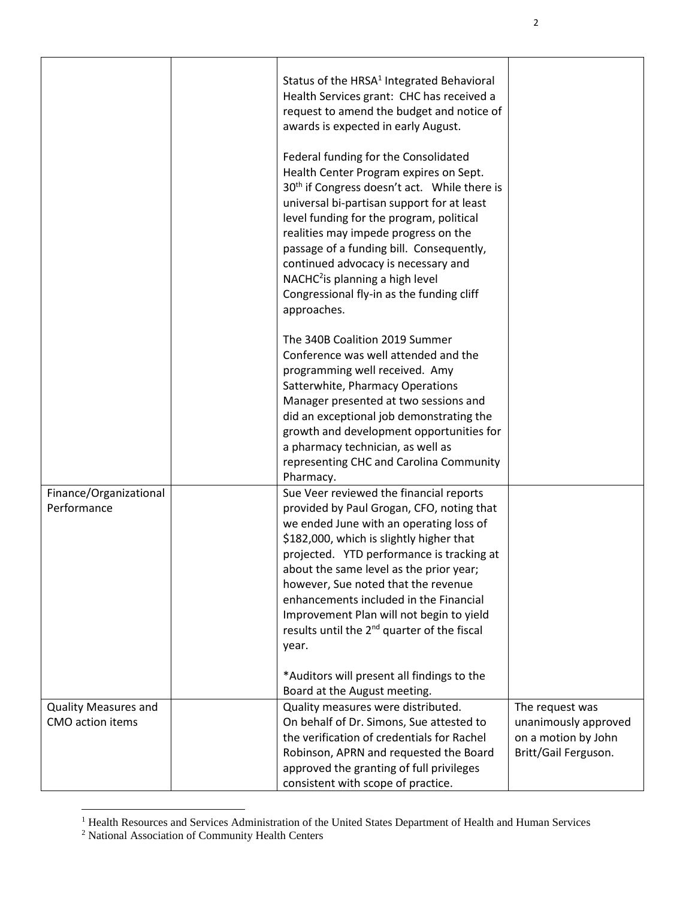| Finance/Organizational<br>Performance | Status of the HRSA <sup>1</sup> Integrated Behavioral<br>Health Services grant: CHC has received a<br>request to amend the budget and notice of<br>awards is expected in early August.<br>Federal funding for the Consolidated<br>Health Center Program expires on Sept.<br>30 <sup>th</sup> if Congress doesn't act. While there is<br>universal bi-partisan support for at least<br>level funding for the program, political<br>realities may impede progress on the<br>passage of a funding bill. Consequently,<br>continued advocacy is necessary and<br>NACHC <sup>2</sup> is planning a high level<br>Congressional fly-in as the funding cliff<br>approaches.<br>The 340B Coalition 2019 Summer<br>Conference was well attended and the<br>programming well received. Amy<br>Satterwhite, Pharmacy Operations<br>Manager presented at two sessions and<br>did an exceptional job demonstrating the<br>growth and development opportunities for<br>a pharmacy technician, as well as<br>representing CHC and Carolina Community<br>Pharmacy.<br>Sue Veer reviewed the financial reports<br>provided by Paul Grogan, CFO, noting that<br>we ended June with an operating loss of<br>\$182,000, which is slightly higher that<br>projected. YTD performance is tracking at<br>about the same level as the prior year;<br>however, Sue noted that the revenue<br>enhancements included in the Financial<br>Improvement Plan will not begin to yield<br>results until the 2 <sup>nd</sup> quarter of the fiscal<br>year.<br>*Auditors will present all findings to the |                      |
|---------------------------------------|--------------------------------------------------------------------------------------------------------------------------------------------------------------------------------------------------------------------------------------------------------------------------------------------------------------------------------------------------------------------------------------------------------------------------------------------------------------------------------------------------------------------------------------------------------------------------------------------------------------------------------------------------------------------------------------------------------------------------------------------------------------------------------------------------------------------------------------------------------------------------------------------------------------------------------------------------------------------------------------------------------------------------------------------------------------------------------------------------------------------------------------------------------------------------------------------------------------------------------------------------------------------------------------------------------------------------------------------------------------------------------------------------------------------------------------------------------------------------------------------------------------------------------------------------------------------------|----------------------|
|                                       | Board at the August meeting.                                                                                                                                                                                                                                                                                                                                                                                                                                                                                                                                                                                                                                                                                                                                                                                                                                                                                                                                                                                                                                                                                                                                                                                                                                                                                                                                                                                                                                                                                                                                             |                      |
| <b>Quality Measures and</b>           | Quality measures were distributed.                                                                                                                                                                                                                                                                                                                                                                                                                                                                                                                                                                                                                                                                                                                                                                                                                                                                                                                                                                                                                                                                                                                                                                                                                                                                                                                                                                                                                                                                                                                                       | The request was      |
| CMO action items                      | On behalf of Dr. Simons, Sue attested to                                                                                                                                                                                                                                                                                                                                                                                                                                                                                                                                                                                                                                                                                                                                                                                                                                                                                                                                                                                                                                                                                                                                                                                                                                                                                                                                                                                                                                                                                                                                 | unanimously approved |
|                                       | the verification of credentials for Rachel                                                                                                                                                                                                                                                                                                                                                                                                                                                                                                                                                                                                                                                                                                                                                                                                                                                                                                                                                                                                                                                                                                                                                                                                                                                                                                                                                                                                                                                                                                                               | on a motion by John  |
|                                       | Robinson, APRN and requested the Board                                                                                                                                                                                                                                                                                                                                                                                                                                                                                                                                                                                                                                                                                                                                                                                                                                                                                                                                                                                                                                                                                                                                                                                                                                                                                                                                                                                                                                                                                                                                   | Britt/Gail Ferguson. |
|                                       | approved the granting of full privileges                                                                                                                                                                                                                                                                                                                                                                                                                                                                                                                                                                                                                                                                                                                                                                                                                                                                                                                                                                                                                                                                                                                                                                                                                                                                                                                                                                                                                                                                                                                                 |                      |
|                                       | consistent with scope of practice.                                                                                                                                                                                                                                                                                                                                                                                                                                                                                                                                                                                                                                                                                                                                                                                                                                                                                                                                                                                                                                                                                                                                                                                                                                                                                                                                                                                                                                                                                                                                       |                      |

<sup>&</sup>lt;sup>1</sup> Health Resources and Services Administration of the United States Department of Health and Human Services

 $\overline{a}$ 

<sup>&</sup>lt;sup>2</sup> National Association of Community Health Centers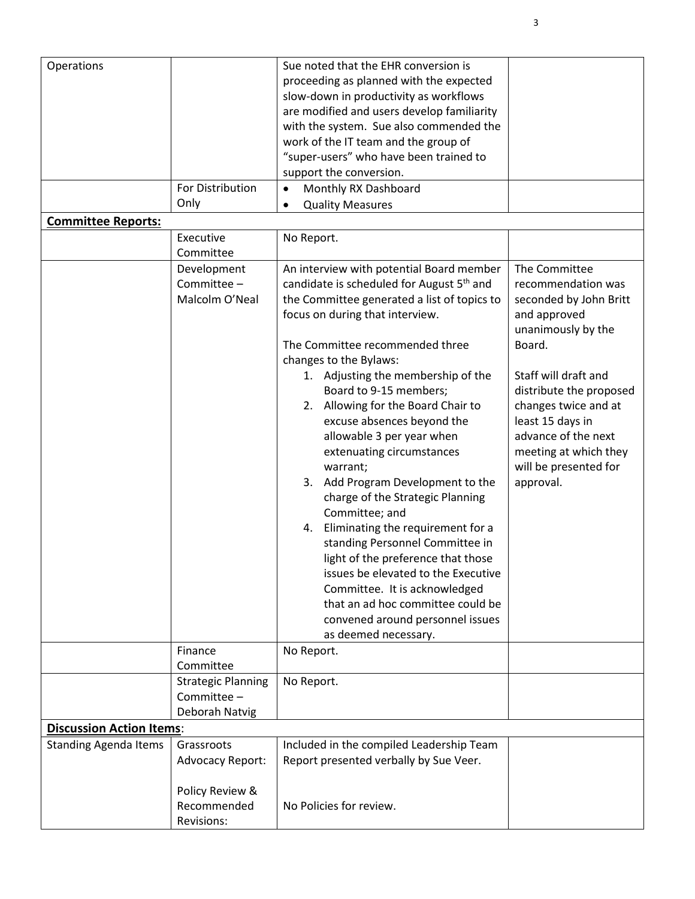| Operations<br><b>Committee Reports:</b> | For Distribution<br>Only                                   | Sue noted that the EHR conversion is<br>proceeding as planned with the expected<br>slow-down in productivity as workflows<br>are modified and users develop familiarity<br>with the system. Sue also commended the<br>work of the IT team and the group of<br>"super-users" who have been trained to<br>support the conversion.<br>Monthly RX Dashboard<br>$\bullet$<br><b>Quality Measures</b><br>$\bullet$                                                                                                                                                                                                                                                                                                                                                                                                                                    |                                                                                                                                                                                                                                                                                                    |
|-----------------------------------------|------------------------------------------------------------|-------------------------------------------------------------------------------------------------------------------------------------------------------------------------------------------------------------------------------------------------------------------------------------------------------------------------------------------------------------------------------------------------------------------------------------------------------------------------------------------------------------------------------------------------------------------------------------------------------------------------------------------------------------------------------------------------------------------------------------------------------------------------------------------------------------------------------------------------|----------------------------------------------------------------------------------------------------------------------------------------------------------------------------------------------------------------------------------------------------------------------------------------------------|
|                                         | Executive                                                  | No Report.                                                                                                                                                                                                                                                                                                                                                                                                                                                                                                                                                                                                                                                                                                                                                                                                                                      |                                                                                                                                                                                                                                                                                                    |
|                                         | Committee                                                  |                                                                                                                                                                                                                                                                                                                                                                                                                                                                                                                                                                                                                                                                                                                                                                                                                                                 |                                                                                                                                                                                                                                                                                                    |
|                                         | Development<br>Committee -<br>Malcolm O'Neal               | An interview with potential Board member<br>candidate is scheduled for August 5 <sup>th</sup> and<br>the Committee generated a list of topics to<br>focus on during that interview.<br>The Committee recommended three<br>changes to the Bylaws:<br>1. Adjusting the membership of the<br>Board to 9-15 members;<br>2. Allowing for the Board Chair to<br>excuse absences beyond the<br>allowable 3 per year when<br>extenuating circumstances<br>warrant;<br>3. Add Program Development to the<br>charge of the Strategic Planning<br>Committee; and<br>4. Eliminating the requirement for a<br>standing Personnel Committee in<br>light of the preference that those<br>issues be elevated to the Executive<br>Committee. It is acknowledged<br>that an ad hoc committee could be<br>convened around personnel issues<br>as deemed necessary. | The Committee<br>recommendation was<br>seconded by John Britt<br>and approved<br>unanimously by the<br>Board.<br>Staff will draft and<br>distribute the proposed<br>changes twice and at<br>least 15 days in<br>advance of the next<br>meeting at which they<br>will be presented for<br>approval. |
|                                         | Finance                                                    | No Report.                                                                                                                                                                                                                                                                                                                                                                                                                                                                                                                                                                                                                                                                                                                                                                                                                                      |                                                                                                                                                                                                                                                                                                    |
|                                         | Committee                                                  |                                                                                                                                                                                                                                                                                                                                                                                                                                                                                                                                                                                                                                                                                                                                                                                                                                                 |                                                                                                                                                                                                                                                                                                    |
|                                         | <b>Strategic Planning</b><br>Committee -<br>Deborah Natvig | No Report.                                                                                                                                                                                                                                                                                                                                                                                                                                                                                                                                                                                                                                                                                                                                                                                                                                      |                                                                                                                                                                                                                                                                                                    |
| <b>Discussion Action Items:</b>         |                                                            |                                                                                                                                                                                                                                                                                                                                                                                                                                                                                                                                                                                                                                                                                                                                                                                                                                                 |                                                                                                                                                                                                                                                                                                    |
| <b>Standing Agenda Items</b>            | Grassroots<br><b>Advocacy Report:</b>                      | Included in the compiled Leadership Team<br>Report presented verbally by Sue Veer.                                                                                                                                                                                                                                                                                                                                                                                                                                                                                                                                                                                                                                                                                                                                                              |                                                                                                                                                                                                                                                                                                    |
|                                         | Policy Review &<br>Recommended<br>Revisions:               | No Policies for review.                                                                                                                                                                                                                                                                                                                                                                                                                                                                                                                                                                                                                                                                                                                                                                                                                         |                                                                                                                                                                                                                                                                                                    |

3